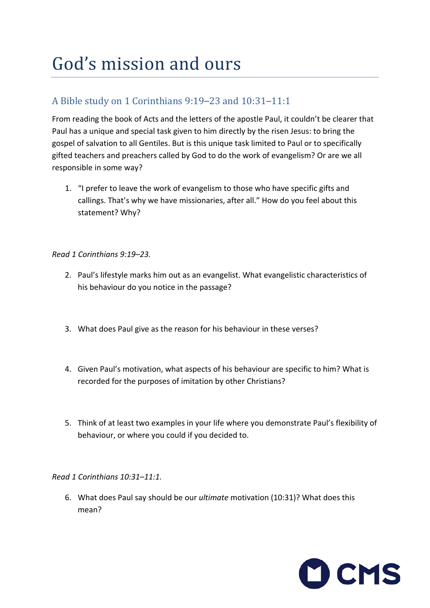# God's mission and ours

## A Bible study on 1 Corinthians 9:19–23 and 10:31–11:1

From reading the book of Acts and the letters of the apostle Paul, it couldn't be clearer that Paul has a unique and special task given to him directly by the risen Jesus: to bring the gospel of salvation to all Gentiles. But is this unique task limited to Paul or to specifically gifted teachers and preachers called by God to do the work of evangelism? Or are we all responsible in some way?

1. "I prefer to leave the work of evangelism to those who have specific gifts and callings. That's why we have missionaries, after all." How do you feel about this statement? Why?

#### *Read 1 Corinthians 9:19–23.*

- 2. Paul's lifestyle marks him out as an evangelist. What evangelistic characteristics of his behaviour do you notice in the passage?
- 3. What does Paul give as the reason for his behaviour in these verses?
- 4. Given Paul's motivation, what aspects of his behaviour are specific to him? What is recorded for the purposes of imitation by other Christians?
- 5. Think of at least two examples in your life where you demonstrate Paul's flexibility of behaviour, or where you could if you decided to.

#### *Read 1 Corinthians 10:31–11:1.*

6. What does Paul say should be our *ultimate* motivation (10:31)? What does this mean?